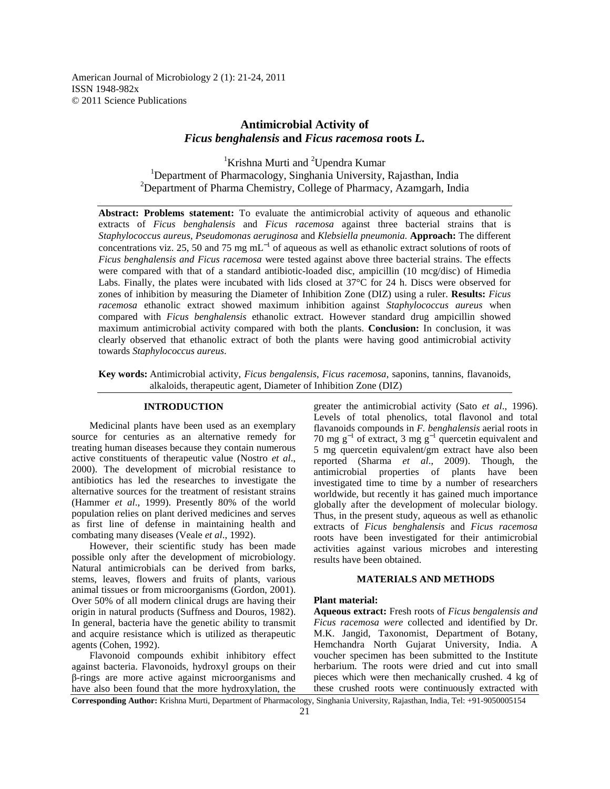American Journal of Microbiology 2 (1): 21-24, 2011 ISSN 1948-982x © 2011 Science Publications

# **Antimicrobial Activity of** *Ficus benghalensis* **and** *Ficus racemosa* **roots** *L.*

<sup>1</sup>Krishna Murti and <sup>2</sup>Upendra Kumar <sup>1</sup>Department of Pharmacology, Singhania University, Rajasthan, India <sup>2</sup>Department of Pharma Chemistry, College of Pharmacy, Azamgarh, India

**Abstract: Problems statement:** To evaluate the antimicrobial activity of aqueous and ethanolic extracts of *Ficus benghalensis* and *Ficus racemosa* against three bacterial strains that is *Staphylococcus aureus*, *Pseudomonas aeruginosa* and *Klebsiella pneumonia.* **Approach:** The different concentrations viz. 25, 50 and 75 mg mL<sup>-1</sup> of aqueous as well as ethanolic extract solutions of roots of *Ficus benghalensis and Ficus racemosa* were tested against above three bacterial strains. The effects were compared with that of a standard antibiotic-loaded disc, ampicillin (10 mcg/disc) of Himedia Labs. Finally, the plates were incubated with lids closed at 37°C for 24 h. Discs were observed for zones of inhibition by measuring the Diameter of Inhibition Zone (DIZ) using a ruler. **Results:** *Ficus racemosa* ethanolic extract showed maximum inhibition against *Staphylococcus aureus* when compared with *Ficus benghalensis* ethanolic extract. However standard drug ampicillin showed maximum antimicrobial activity compared with both the plants. **Conclusion:** In conclusion, it was clearly observed that ethanolic extract of both the plants were having good antimicrobial activity towards *Staphylococcus aureus*.

**Key words:** Antimicrobial activity, *Ficus bengalensis*, *Ficus racemosa*, saponins, tannins, flavanoids, alkaloids, therapeutic agent, Diameter of Inhibition Zone (DIZ)

### **INTRODUCTION**

 Medicinal plants have been used as an exemplary source for centuries as an alternative remedy for treating human diseases because they contain numerous active constituents of therapeutic value (Nostro *et al*., 2000). The development of microbial resistance to antibiotics has led the researches to investigate the alternative sources for the treatment of resistant strains (Hammer *et al*., 1999). Presently 80% of the world population relies on plant derived medicines and serves as first line of defense in maintaining health and combating many diseases (Veale *et al*., 1992).

 However, their scientific study has been made possible only after the development of microbiology. Natural antimicrobials can be derived from barks, stems, leaves, flowers and fruits of plants, various animal tissues or from microorganisms (Gordon, 2001). Over 50% of all modern clinical drugs are having their origin in natural products (Suffness and Douros, 1982). In general, bacteria have the genetic ability to transmit and acquire resistance which is utilized as therapeutic agents (Cohen, 1992).

 Flavonoid compounds exhibit inhibitory effect against bacteria. Flavonoids, hydroxyl groups on their β-rings are more active against microorganisms and have also been found that the more hydroxylation, the greater the antimicrobial activity (Sato *et al*., 1996). Levels of total phenolics, total flavonol and total flavanoids compounds in *F. benghalensis* aerial roots in 70 mg  $g^{-1}$  of extract, 3 mg  $g^{-1}$  quercetin equivalent and 5 mg quercetin equivalent/gm extract have also been reported (Sharma *et al*., 2009). Though, the antimicrobial properties of plants have been investigated time to time by a number of researchers worldwide, but recently it has gained much importance globally after the development of molecular biology. Thus, in the present study, aqueous as well as ethanolic extracts of *Ficus benghalensis* and *Ficus racemosa* roots have been investigated for their antimicrobial activities against various microbes and interesting results have been obtained.

#### **MATERIALS AND METHODS**

### **Plant material:**

**Aqueous extract:** Fresh roots of *Ficus bengalensis and Ficus racemosa were* collected and identified by Dr. M.K. Jangid, Taxonomist, Department of Botany, Hemchandra North Gujarat University, India. A voucher specimen has been submitted to the Institute herbarium. The roots were dried and cut into small pieces which were then mechanically crushed. 4 kg of these crushed roots were continuously extracted with

**Corresponding Author:** Krishna Murti, Department of Pharmacology, Singhania University, Rajasthan, India, Tel: +91-9050005154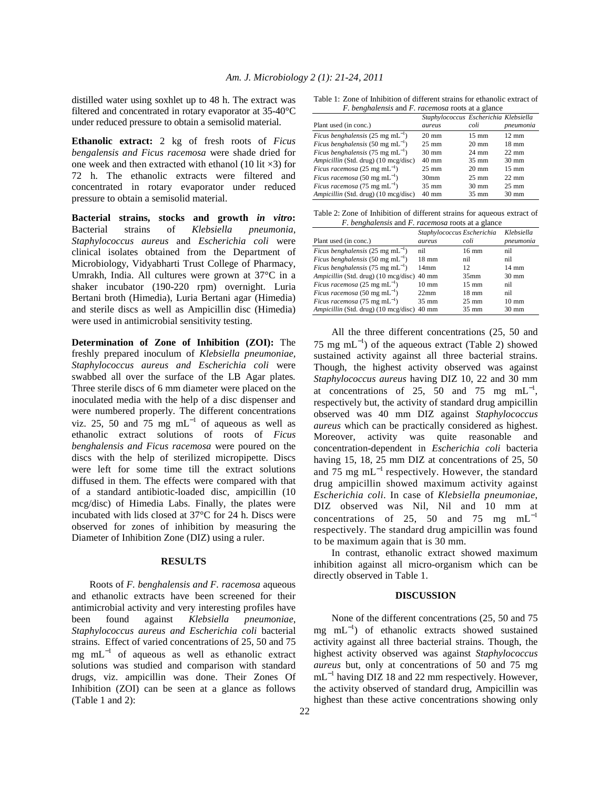distilled water using soxhlet up to 48 h. The extract was filtered and concentrated in rotary evaporator at 35-40°C under reduced pressure to obtain a semisolid material.

**Ethanolic extract:** 2 kg of fresh roots of *Ficus bengalensis and Ficus racemosa* were shade dried for one week and then extracted with ethanol (10 lit  $\times$ 3) for 72 h. The ethanolic extracts were filtered and concentrated in rotary evaporator under reduced pressure to obtain a semisolid material.

**Bacterial strains, stocks and growth** *in vitro***:**  Bacterial strains of *Klebsiella pneumonia*, *Staphylococcus aureus* and *Escherichia coli* were clinical isolates obtained from the Department of Microbiology, Vidyabharti Trust College of Pharmacy, Umrakh, India. All cultures were grown at 37°C in a shaker incubator (190-220 rpm) overnight. Luria Bertani broth (Himedia), Luria Bertani agar (Himedia) and sterile discs as well as Ampicillin disc (Himedia) were used in antimicrobial sensitivity testing.

**Determination of Zone of Inhibition (ZOI):** The freshly prepared inoculum of *Klebsiella pneumoniae, Staphylococcus aureus and Escherichia coli* were swabbed all over the surface of the LB Agar plates*.*  Three sterile discs of 6 mm diameter were placed on the inoculated media with the help of a disc dispenser and were numbered properly. The different concentrations viz. 25, 50 and 75 mg mL<sup>-1</sup> of aqueous as well as ethanolic extract solutions of roots of *Ficus benghalensis and Ficus racemosa* were poured on the discs with the help of sterilized micropipette. Discs were left for some time till the extract solutions diffused in them. The effects were compared with that of a standard antibiotic-loaded disc, ampicillin (10 mcg/disc) of Himedia Labs. Finally, the plates were incubated with lids closed at 37°C for 24 h. Discs were observed for zones of inhibition by measuring the Diameter of Inhibition Zone (DIZ) using a ruler.

# **RESULTS**

 Roots of *F. benghalensis and F. racemosa* aqueous and ethanolic extracts have been screened for their antimicrobial activity and very interesting profiles have been found against *Klebsiella pneumoniae*, *Staphylococcus aureus and Escherichia coli* bacterial strains. Effect of varied concentrations of 25, 50 and 75 mg m $L^{-1}$  of aqueous as well as ethanolic extract solutions was studied and comparison with standard drugs, viz. ampicillin was done. Their Zones Of Inhibition (ZOI) can be seen at a glance as follows (Table 1 and 2):

Table 1: Zone of Inhibition of different strains for ethanolic extract of *F. benghalensis* and *F. racemosa* roots at a glance

| <i>r</i> . <i>Denghatensis</i> and <i>r</i> . <i>racemosa</i> roots at a giance |                                       |                 |                 |  |
|---------------------------------------------------------------------------------|---------------------------------------|-----------------|-----------------|--|
|                                                                                 | Staphylococcus Escherichia Klebsiella |                 |                 |  |
| Plant used (in conc.)                                                           | aureus                                | coli            | pneumonia       |  |
| <i>Ficus benghalensis</i> (25 mg mL <sup>-1</sup> )                             | $20 \text{ mm}$                       | $15 \text{ mm}$ | $12 \text{ mm}$ |  |
| <i>Ficus benghalensis</i> (50 mg mL <sup>-1</sup> )                             | $25 \text{ mm}$                       | $20 \text{ mm}$ | $18 \text{ mm}$ |  |
| Ficus benghalensis (75 mg mL $^{-1}$ )                                          | $30 \text{ mm}$                       | $24 \text{ mm}$ | $22 \text{ mm}$ |  |
| Ampicillin (Std. drug) (10 mcg/disc)                                            | $40 \text{ mm}$                       | $35 \text{ mm}$ | $30 \text{ mm}$ |  |
| <i>Ficus racemosa</i> (25 mg mL <sup>-1</sup> )                                 | $25 \text{ mm}$                       | $20 \text{ mm}$ | $15 \text{ mm}$ |  |
| <i>Ficus racemosa</i> (50 mg mL <sup>-1</sup> )                                 | 30 <sub>mm</sub>                      | $25 \text{ mm}$ | $22 \text{ mm}$ |  |
| <i>Ficus racemosa</i> $(75 \text{ mg } \text{mL}^{-1})$                         | $35 \text{ mm}$                       | 30 mm           | $25 \text{ mm}$ |  |
| Ampicillin (Std. drug) (10 mcg/disc)                                            | $40 \text{ mm}$                       | 35 mm           | 30 mm           |  |

Table 2: Zone of Inhibition of different strains for aqueous extract of *F. benghalensis* and *F. racemosa* roots at a glance

| $\cdot$                                                     | Staphylococcus Escherichia |                  | Klebsiella      |
|-------------------------------------------------------------|----------------------------|------------------|-----------------|
| Plant used (in conc.)                                       | aureus                     | coli             | pneumonia       |
| <i>Ficus benghalensis</i> $(25 \text{ mg } \text{mL}^{-1})$ | nil                        | $16 \text{ mm}$  | nil             |
| Ficus benghalensis (50 mg mL <sup>-1</sup> )                | $18 \text{ mm}$            | nil              | nil             |
| Ficus benghalensis (75 mg mL <sup>-1</sup> )                | 14 <sub>mm</sub>           | 12               | $14 \text{ mm}$ |
| Ampicillin (Std. drug) (10 mcg/disc)                        | $40 \text{ mm}$            | 35 <sub>mm</sub> | $30 \text{ mm}$ |
| <i>Ficus racemosa</i> (25 mg mL <sup>-1</sup> )             | $10 \text{ mm}$            | $15 \text{ mm}$  | nil             |
| <i>Ficus racemosa</i> (50 mg mL <sup>-1</sup> )             | 22 <sub>mm</sub>           | $18 \text{ mm}$  | nil             |
| <i>Ficus racemosa</i> (75 mg mL <sup>-1</sup> )             | $35 \text{ mm}$            | $25 \text{ mm}$  | $10 \text{ mm}$ |
| <i>Ampicillin</i> (Std. drug) (10 mcg/disc)                 | $40 \text{ mm}$            | $35 \text{ mm}$  | 30 mm           |

 All the three different concentrations (25, 50 and 75 mg mL<sup>-1</sup>) of the aqueous extract (Table 2) showed sustained activity against all three bacterial strains. Though, the highest activity observed was against *Staphylococcus aureus* having DIZ 10, 22 and 30 mm at concentrations of 25, 50 and 75 mg  $mL^{-1}$ , respectively but, the activity of standard drug ampicillin observed was 40 mm DIZ against *Staphylococcus aureus* which can be practically considered as highest. Moreover, activity was quite reasonable and concentration-dependent in *Escherichia coli* bacteria having 15, 18, 25 mm DIZ at concentrations of 25, 50 and 75 mg mL<sup> $-1$ </sup> respectively. However, the standard drug ampicillin showed maximum activity against *Escherichia coli*. In case of *Klebsiella pneumoniae*, DIZ observed was Nil, Nil and 10 mm at concentrations of 25, 50 and 75 mg  $mL^{-1}$ respectively. The standard drug ampicillin was found to be maximum again that is 30 mm.

 In contrast, ethanolic extract showed maximum inhibition against all micro-organism which can be directly observed in Table 1.

#### **DISCUSSION**

 None of the different concentrations (25, 50 and 75 mg mL<sup>−</sup><sup>1</sup> ) of ethanolic extracts showed sustained activity against all three bacterial strains. Though, the highest activity observed was against *Staphylococcus aureus* but, only at concentrations of 50 and 75 mg mL<sup>-1</sup> having DIZ 18 and 22 mm respectively. However, the activity observed of standard drug, Ampicillin was highest than these active concentrations showing only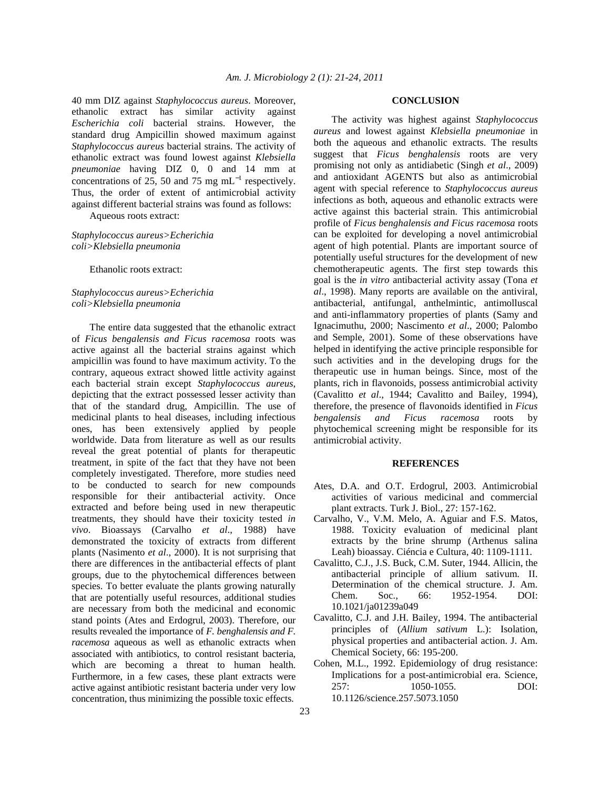40 mm DIZ against *Staphylococcus aureus*. Moreover, ethanolic extract has similar activity against *Escherichia coli* bacterial strains. However, the standard drug Ampicillin showed maximum against *Staphylococcus aureus* bacterial strains. The activity of ethanolic extract was found lowest against *Klebsiella pneumoniae* having DIZ 0, 0 and 14 mm at concentrations of 25, 50 and 75 mg  $mL^{-1}$  respectively. Thus, the order of extent of antimicrobial activity against different bacterial strains was found as follows:

Aqueous roots extract:

## *Staphylococcus aureus>Echerichia coli>Klebsiella pneumonia*

Ethanolic roots extract:

# *Staphylococcus aureus>Echerichia coli>Klebsiella pneumonia*

 The entire data suggested that the ethanolic extract of *Ficus bengalensis and Ficus racemosa* roots was active against all the bacterial strains against which ampicillin was found to have maximum activity. To the contrary, aqueous extract showed little activity against each bacterial strain except *Staphylococcus aureus*, depicting that the extract possessed lesser activity than that of the standard drug, Ampicillin. The use of medicinal plants to heal diseases, including infectious ones, has been extensively applied by people worldwide. Data from literature as well as our results reveal the great potential of plants for therapeutic treatment, in spite of the fact that they have not been completely investigated. Therefore, more studies need to be conducted to search for new compounds responsible for their antibacterial activity. Once extracted and before being used in new therapeutic treatments, they should have their toxicity tested *in vivo*. Bioassays (Carvalho *et al*., 1988) have demonstrated the toxicity of extracts from different plants (Nasimento *et al*., 2000). It is not surprising that there are differences in the antibacterial effects of plant groups, due to the phytochemical differences between species. To better evaluate the plants growing naturally that are potentially useful resources, additional studies are necessary from both the medicinal and economic stand points (Ates and Erdogrul, 2003). Therefore, our results revealed the importance of *F. benghalensis and F. racemosa* aqueous as well as ethanolic extracts when associated with antibiotics, to control resistant bacteria, which are becoming a threat to human health. Furthermore, in a few cases, these plant extracts were active against antibiotic resistant bacteria under very low concentration, thus minimizing the possible toxic effects.

#### **CONCLUSION**

 The activity was highest against *Staphylococcus aureus* and lowest against *Klebsiella pneumoniae* in both the aqueous and ethanolic extracts. The results suggest that *Ficus benghalensis* roots are very promising not only as antidiabetic (Singh *et al*., 2009) and antioxidant AGENTS but also as antimicrobial agent with special reference to *Staphylococcus aureus*  infections as both, aqueous and ethanolic extracts were active against this bacterial strain. This antimicrobial profile of *Ficus benghalensis and Ficus racemosa* roots can be exploited for developing a novel antimicrobial agent of high potential. Plants are important source of potentially useful structures for the development of new chemotherapeutic agents. The first step towards this goal is the *in vitro* antibacterial activity assay (Tona *et al*., 1998). Many reports are available on the antiviral, antibacterial, antifungal, anthelmintic, antimolluscal and anti-inflammatory properties of plants (Samy and Ignacimuthu, 2000; Nascimento *et al*., 2000; Palombo and Semple, 2001). Some of these observations have helped in identifying the active principle responsible for such activities and in the developing drugs for the therapeutic use in human beings. Since, most of the plants, rich in flavonoids, possess antimicrobial activity (Cavalitto *et al*., 1944; Cavalitto and Bailey, 1994), therefore, the presence of flavonoids identified in *Ficus bengalensis and Ficus racemosa* roots by phytochemical screening might be responsible for its antimicrobial activity.

### **REFERENCES**

- Ates, D.A. and O.T. Erdogrul, 2003. Antimicrobial activities of various medicinal and commercial plant extracts. Turk J. Biol., 27: 157-162.
- Carvalho, V., V.M. Melo, A. Aguiar and F.S. Matos, 1988. Toxicity evaluation of medicinal plant extracts by the brine shrump (Arthenus salina Leah) bioassay. Ciéncia e Cultura, 40: 1109-1111.
- Cavalitto, C.J., J.S. Buck, C.M. Suter, 1944. Allicin, the antibacterial principle of allium sativum. II. Determination of the chemical structure. J. Am. Chem. Soc., 66: 1952-1954. DOI: 10.1021/ja01239a049
- Cavalitto, C.J. and J.H. Bailey, 1994. The antibacterial principles of (*Allium sativum* L.): Isolation, physical properties and antibacterial action. J. Am. Chemical Society, 66: 195-200.
- Cohen, M.L., 1992. Epidemiology of drug resistance: Implications for a post-antimicrobial era. Science, 257: 1050-1055. DOI: 10.1126/science.257.5073.1050